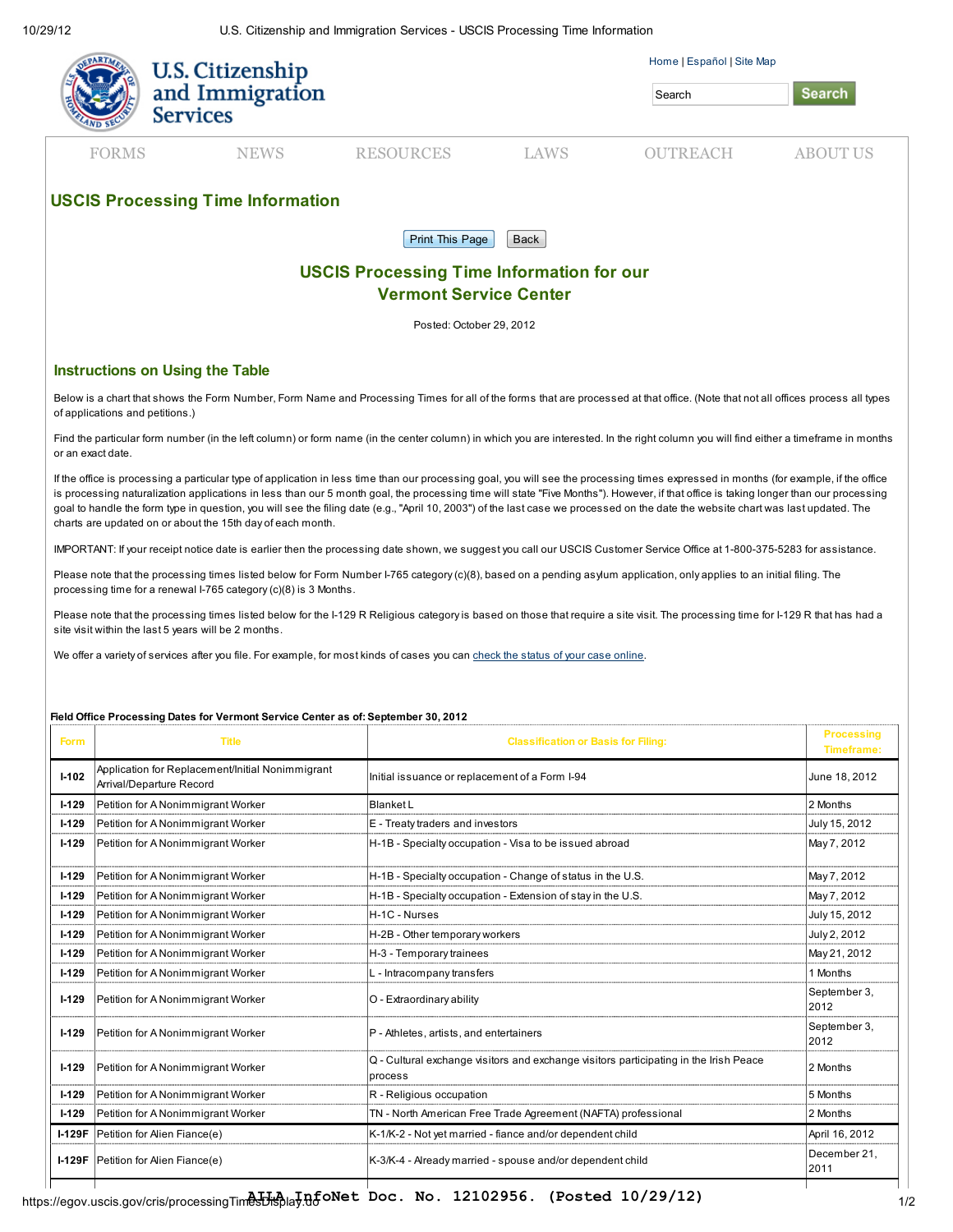|                                                                                   | <b>U.S. Citizenship</b><br>and Immigration<br><b>Services</b> |                        |             | Home   Español   Site Map<br>Search | <b>Search</b>   |  |  |
|-----------------------------------------------------------------------------------|---------------------------------------------------------------|------------------------|-------------|-------------------------------------|-----------------|--|--|
| <b>FORMS</b>                                                                      | <b>NEWS</b>                                                   | <b>RESOURCES</b>       | <b>LAWS</b> | <b>OUTREACH</b>                     | <b>ABOUT US</b> |  |  |
| <b>USCIS Processing Time Information</b>                                          |                                                               |                        |             |                                     |                 |  |  |
|                                                                                   |                                                               | <b>Print This Page</b> | Back        |                                     |                 |  |  |
| <b>USCIS Processing Time Information for our</b><br><b>Vermont Service Center</b> |                                                               |                        |             |                                     |                 |  |  |

Posted: October 29, 2012

## Instructions on Using the Table

Below is a chart that shows the Form Number, Form Name and Processing Times for all of the forms that are processed at that office. (Note that not all offices process all types of applications and petitions.)

Find the particular form number (in the left column) or form name (in the center column) in which you are interested. In the right column you will find either a timeframe in months or an exact date.

If the office is processing a particular type of application in less time than our processing goal, you will see the processing times expressed in months (for example, if the office is processing naturalization applications in less than our 5 month goal, the processing time will state "Five Months"). However, if that office is taking longer than our processing goal to handle the form type in question, you will see the filing date (e.g., "April 10, 2003") of the last case we processed on the date the website chart was last updated. The charts are updated on or about the 15th day of each month.

IMPORTANT: If your receipt notice date is earlier then the processing date shown, we suggest you call our USCIS Customer Service Office at 1-800-375-5283 for assistance.

Please note that the processing times listed below for Form Number I-765 category (c)(8), based on a pending asylum application, only applies to an initial filing. The processing time for a renewal I-765 category (c)(8) is 3 Months.

Please note that the processing times listed below for the I-129 R Religious category is based on those that require a site visit. The processing time for I-129 R that has had a site visit within the last 5 years will be 2 months.

We offer a variety of services after you file. For example, for most kinds of cases you can [check the status of your case online.](https://egov.uscis.gov/cris/caseStatusSearchDisplay.do)

## Field Office Processing Dates for Vermont Service Center as of: September 30, 2012

| <b>Form</b>   | <b>Title</b>                                                                 | <b>Classification or Basis for Filing:</b>                                                       | <b>Processing</b><br><b>Timeframe:</b> |
|---------------|------------------------------------------------------------------------------|--------------------------------------------------------------------------------------------------|----------------------------------------|
| $I-102$       | Application for Replacement/Initial Nonimmigrant<br>Arrival/Departure Record | Initial issuance or replacement of a Form I-94                                                   | June 18, 2012                          |
| $I-129$       | Petition for A Nonimmigrant Worker                                           | <b>Blanket L</b>                                                                                 | 2 Months                               |
| $1 - 129$     | Petition for A Nonimmigrant Worker                                           | E - Treaty traders and investors                                                                 | July 15, 2012                          |
| $1 - 129$     | Petition for A Nonimmigrant Worker                                           | H-1B - Specialty occupation - Visa to be issued abroad                                           | May 7, 2012                            |
| $1 - 129$     | Petition for A Nonimmigrant Worker                                           | H-1B - Specialty occupation - Change of status in the U.S.                                       | May 7, 2012                            |
| $I-129$       | Petition for A Nonimmigrant Worker                                           | H-1B - Specialty occupation - Extension of stay in the U.S.                                      | May 7, 2012                            |
| $I-129$       | Petition for A Nonimmigrant Worker                                           | H-1C - Nurses                                                                                    | July 15, 2012                          |
| $I-129$       | Petition for A Nonimmigrant Worker                                           | H-2B - Other temporary workers                                                                   | July 2, 2012                           |
| $I-129$       | Petition for A Nonimmigrant Worker                                           | H-3 - Temporary trainees                                                                         | May 21, 2012                           |
| $I-129$       | Petition for A Nonimmigrant Worker                                           | L - Intracompany transfers                                                                       | 1 Months                               |
| $1 - 129$     | Petition for A Nonimmigrant Worker                                           | O - Extraordinary ability                                                                        | September 3,<br>2012                   |
| $I-129$       | Petition for A Nonimmigrant Worker                                           | P - Athletes, artists, and entertainers                                                          | September 3,<br>2012                   |
| $1 - 129$     | Petition for A Nonimmigrant Worker                                           | Q - Cultural exchange visitors and exchange visitors participating in the Irish Peace<br>process | 2 Months                               |
| $1 - 129$     | Petition for A Nonimmigrant Worker                                           | R - Religious occupation                                                                         | 5 Months                               |
| $I-129$       | Petition for A Nonimmigrant Worker                                           | TN - North American Free Trade Agreement (NAFTA) professional                                    | 2 Months                               |
| <b>I-129F</b> | Petition for Alien Fiance(e)                                                 | K-1/K-2 - Not yet married - fiance and/or dependent child                                        | April 16, 2012                         |
|               | <b>I-129F</b> Petition for Alien Fiance(e)                                   | K-3/K-4 - Already married - spouse and/or dependent child                                        | December 21,<br>2011                   |
|               |                                                                              |                                                                                                  |                                        |